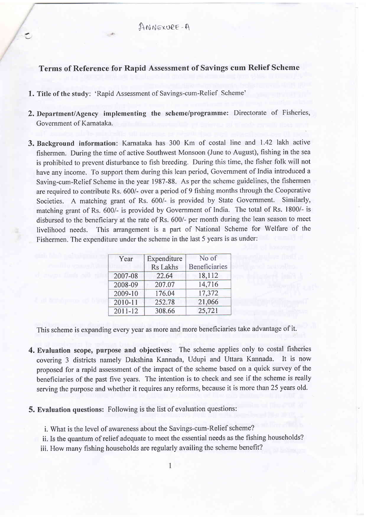$AMM$  $EXOPE - A$ 

## Terms of Reference for Rapid Assessment of Savings cum Relief Scheme

1. Title of the study: 'Rapid Assessment of Savings-cum-Relief Scheme'

 $\tilde{\phantom{a}}$ 

- 2. Department/Agency implementing the scheme/programme: Directorate of Fisheries Government of Karnataka.
- 3. Background information: Karnataka has 300 Km of costal line and 1.42 lakh active fishermen. During the time of active Southwest Monsoon (June to August), fishing in the sea is prohibited to prevent disturbance to fish breeding. During this time, the fisher folk will not have any income. To support them during this lean period, Government of India introduced <sup>a</sup> Saving-cum-Relief Scheme in the year 1987-88. As per the scheme guidelines, the fishermen are required to contribute Rs. 600/- over a period of 9 fishing months through the Cooperative Societies. A matching grant of Rs. 600/- is provided by State Government. Similarly, matching grant of Rs.600/- is provided by Government of India. The total of Rs. 1800/- is disbursed to the beneficiary at the rate of Rs. 600/- per month during the lean season to meet livelihood needs. This arrangement is a part of National Scheme for Welfare of the Fishermen. The expenditure under the scheme in the last 5 years is as under:

| Year    | Expenditure     | No of                |
|---------|-----------------|----------------------|
|         | <b>Rs</b> Lakhs | <b>Beneficiaries</b> |
| 2007-08 | 22.64           | 18,112               |
| 2008-09 | 207.07          | 14,716               |
| 2009-10 | 176.04          | 17,372               |
| 2010-11 | 252.78          | 21,066               |
| 2011-12 | 308.66          | 25,721               |

This scheme is expanding every year as more and more beneficiaries take advantage of it.

- 4. Evaluation scope, purpose and objectives: The scheme applies only to costal fisheries covering 3 districts namely Dakshina Kannada, Udupi and Uttara Kannada. It is now proposed for a rapid assessment of the impact of the scheme based on a quick survey of the beneficiaries of the past five years. The intention is to check and see if the scheme is really serving the purpose and whether it requires any reforms, because it is more than 25 years old.
- 5. Evaluation questions: Following is the list of evaluation questions:
	- i. What is the level of awareness about the Savings-cum-Relief scheme?
	- ii. Is the quantum of relief adequate to meet the essential needs as the fishing households?

iii. How many fishing households are regularly availing the scheme benefit?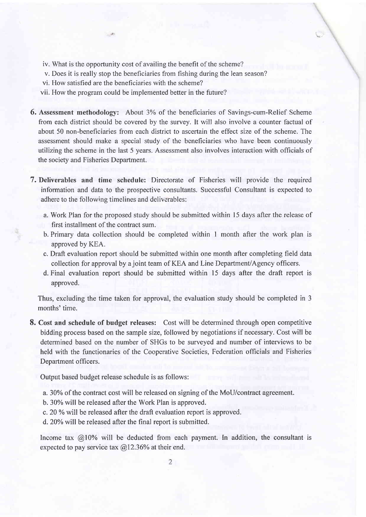- iv. What is the opportunity cost of availing the benefit of the scheme?
- v. Does it is really stop the beneficiaries from fishing during the lean season?
- vi. How satisfied are the beneficiaries with the scheme?
- vii. How the program could be implemented better in the future?
- **6.** Assessment methodology: About 3% of the beneficiaries of Savings-cum-Relief Scheme from each district should be covered by the survey. It will also involve a counter factual of about 50 non-beneficiaries from each district to ascertain the effect size of the scheme. The assessment should make a special study of the beneficiaries who have been continuously utilizing the scheme in the last 5 years. Assessment also involves interaction with officials of the society and Fisheries Department.
- 7. Deliverables and time schedule: Directorate of Fisheries will provide the required information and data to the prospective consultants. Successful Consultant is expected to adhere to the following timelines and deliverables:
	- a. Work Plan for the proposed study should be submitted within l5 days after the release of first installment of the contract sum.
	- b. Primary data collection should be completed within I month after the work plan is approved by KEA.
	- c. Draft evaluation report should be submitted within one month after completing field data collection for approval by a joint team of KEA and Line Department/Agency officers.
	- d. Final evaluation report should be submitted within 15 days after the draft report is approved.

Thus, excluding the time taken for approval, the evaluation study should be completed in <sup>3</sup> months' time.

8. Cost and schedule of budget releases: Cost will be determined through open competitive bidding process based on the sample size, followed by negotiations if necessary. Cost will be determined based on the number of SHGs to be surveyed and number of interviews to be held with the functionaries of the Cooperative Societies, Federation officials and Fisheries Department officers.

Output based budget release schedule is as follows:

- a.30%o of the contract cost will be released on signing of the MoU/contract agreement.
- b.30% will be released after the Work Plan is approved.
- c. 20 % will be released after the draft evaluation report is approved.
- d.20% will be released after the final report is submitted.

Income tax  $@10\%$  will be deducted from each payment. In addition, the consultant is expected to pay service tax  $@12.36\%$  at their end.